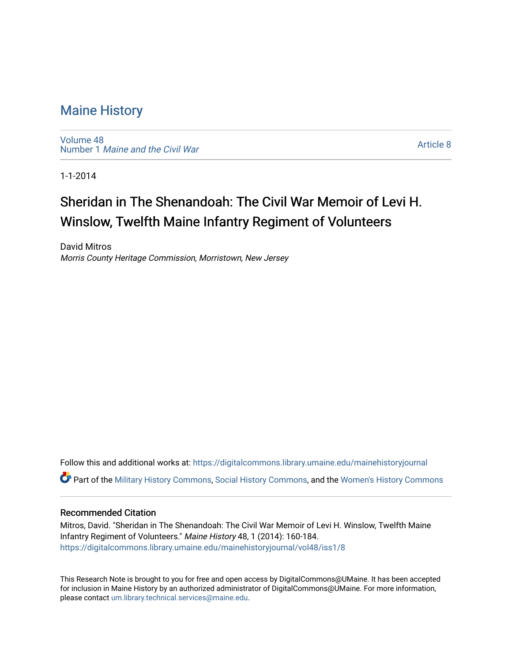# [Maine History](https://digitalcommons.library.umaine.edu/mainehistoryjournal)

[Volume 48](https://digitalcommons.library.umaine.edu/mainehistoryjournal/vol48) Number 1 [Maine and the Civil War](https://digitalcommons.library.umaine.edu/mainehistoryjournal/vol48/iss1)

[Article 8](https://digitalcommons.library.umaine.edu/mainehistoryjournal/vol48/iss1/8) 

1-1-2014

# Sheridan in The Shenandoah: The Civil War Memoir of Levi H. Winslow, Twelfth Maine Infantry Regiment of Volunteers

David Mitros Morris County Heritage Commission, Morristown, New Jersey

Follow this and additional works at: [https://digitalcommons.library.umaine.edu/mainehistoryjournal](https://digitalcommons.library.umaine.edu/mainehistoryjournal?utm_source=digitalcommons.library.umaine.edu%2Fmainehistoryjournal%2Fvol48%2Fiss1%2F8&utm_medium=PDF&utm_campaign=PDFCoverPages)  Part of the [Military History Commons](http://network.bepress.com/hgg/discipline/504?utm_source=digitalcommons.library.umaine.edu%2Fmainehistoryjournal%2Fvol48%2Fiss1%2F8&utm_medium=PDF&utm_campaign=PDFCoverPages), [Social History Commons](http://network.bepress.com/hgg/discipline/506?utm_source=digitalcommons.library.umaine.edu%2Fmainehistoryjournal%2Fvol48%2Fiss1%2F8&utm_medium=PDF&utm_campaign=PDFCoverPages), and the [Women's History Commons](http://network.bepress.com/hgg/discipline/507?utm_source=digitalcommons.library.umaine.edu%2Fmainehistoryjournal%2Fvol48%2Fiss1%2F8&utm_medium=PDF&utm_campaign=PDFCoverPages)

## Recommended Citation

Mitros, David. "Sheridan in The Shenandoah: The Civil War Memoir of Levi H. Winslow, Twelfth Maine Infantry Regiment of Volunteers." Maine History 48, 1 (2014): 160-184. [https://digitalcommons.library.umaine.edu/mainehistoryjournal/vol48/iss1/8](https://digitalcommons.library.umaine.edu/mainehistoryjournal/vol48/iss1/8?utm_source=digitalcommons.library.umaine.edu%2Fmainehistoryjournal%2Fvol48%2Fiss1%2F8&utm_medium=PDF&utm_campaign=PDFCoverPages)

This Research Note is brought to you for free and open access by DigitalCommons@UMaine. It has been accepted for inclusion in Maine History by an authorized administrator of DigitalCommons@UMaine. For more information, please contact [um.library.technical.services@maine.edu.](mailto:um.library.technical.services@maine.edu)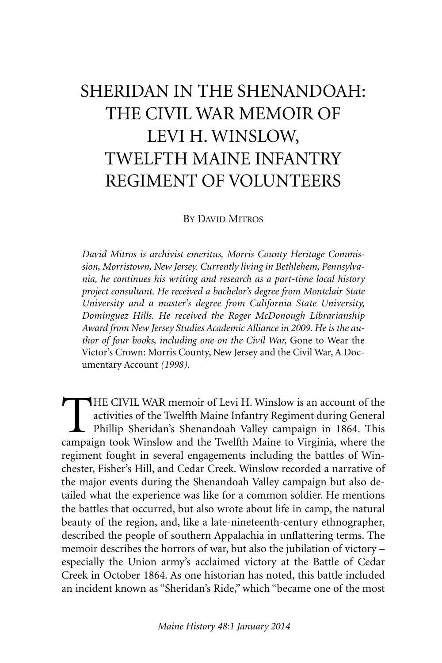# SHERIDAN IN THE SHENANDOAH: THE CIVIL WAR MEMOIR OF LEVI H. WINSLOW, TWELFTH MAINE INFANTRY REGIMENT OF VOLUNTEERS

BY DAVID MITROS

*David Mitros is archivist emeritus, Morris County Heritage Commission, Morristown, New Jersey. Currently living in Bethlehem, Pennsylvania, he continues his writing and research as a part-time local history project consultant. He received a bachelor's degree from Montclair State University and a master's degree from California State University, Dominguez Hills. He received the Roger McDonough Librarianship Award from New Jersey Studies Academic Alliance in 2009. He is the author of four books, including one on the Civil War,* Gone to Wear the Victor's Crown: Morris County, New Jersey and the Civil War, A Documentary Account *(1998).*

THE CIVIL WAR memoir of Levi H. Winslow is an account of the activities of the Twelfth Maine Infantry Regiment during General Phillip Sheridan's Shenandoah Valley campaign in 1864. This campaign took Winslow and the Twelft activities of the Twelfth Maine Infantry Regiment during General Phillip Sheridan's Shenandoah Valley campaign in 1864. This campaign took Winslow and the Twelfth Maine to Virginia, where the regiment fought in several engagements including the battles of Winchester, Fisher's Hill, and Cedar Creek. Winslow recorded a narrative of the major events during the Shenandoah Valley campaign but also detailed what the experience was like for a common soldier. He mentions the battles that occurred, but also wrote about life in camp, the natural beauty of the region, and, like a late-nineteenth-century ethnographer, described the people of southern Appalachia in unflattering terms. The memoir describes the horrors of war, but also the jubilation of victory – especially the Union army's acclaimed victory at the Battle of Cedar Creek in October 1864. As one historian has noted, this battle included an incident known as "Sheridan's Ride," which "became one of the most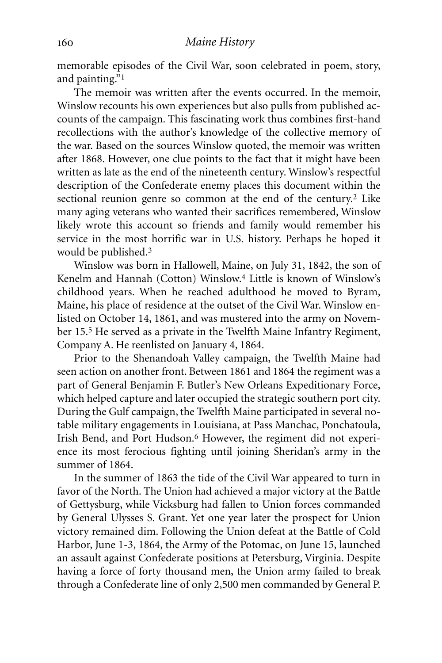memorable episodes of the Civil War, soon celebrated in poem, story, and painting."1

The memoir was written after the events occurred. In the memoir, Winslow recounts his own experiences but also pulls from published accounts of the campaign. This fascinating work thus combines first-hand recollections with the author's knowledge of the collective memory of the war. Based on the sources Winslow quoted, the memoir was written after 1868. However, one clue points to the fact that it might have been written as late as the end of the nineteenth century. Winslow's respectful description of the Confederate enemy places this document within the sectional reunion genre so common at the end of the century. 2 Like many aging veterans who wanted their sacrifices remembered, Winslow likely wrote this account so friends and family would remember his service in the most horrific war in U.S. history. Perhaps he hoped it would be published. 3

Winslow was born in Hallowell, Maine, on July 31, 1842, the son of Kenelm and Hannah (Cotton) Winslow.4 Little is known of Winslow's childhood years. When he reached adulthood he moved to Byram, Maine, his place of residence at the outset of the Civil War. Winslow enlisted on October 14, 1861, and was mustered into the army on November 15.5 He served as a private in the Twelfth Maine Infantry Regiment, Company A. He reenlisted on January 4, 1864.

Prior to the Shenandoah Valley campaign, the Twelfth Maine had seen action on another front. Between 1861 and 1864 the regiment was a part of General Benjamin F. Butler's New Orleans Expeditionary Force, which helped capture and later occupied the strategic southern port city. During the Gulf campaign, the Twelfth Maine participated in several notable military engagements in Louisiana, at Pass Manchac, Ponchatoula, Irish Bend, and Port Hudson. 6 However, the regiment did not experience its most ferocious fighting until joining Sheridan's army in the summer of 1864.

In the summer of 1863 the tide of the Civil War appeared to turn in favor of the North. The Union had achieved a major victory at the Battle of Gettysburg, while Vicksburg had fallen to Union forces commanded by General Ulysses S. Grant. Yet one year later the prospect for Union victory remained dim. Following the Union defeat at the Battle of Cold Harbor, June 1-3, 1864, the Army of the Potomac, on June 15, launched an assault against Confederate positions at Petersburg, Virginia. Despite having a force of forty thousand men, the Union army failed to break through a Confederate line of only 2,500 men commanded by General P.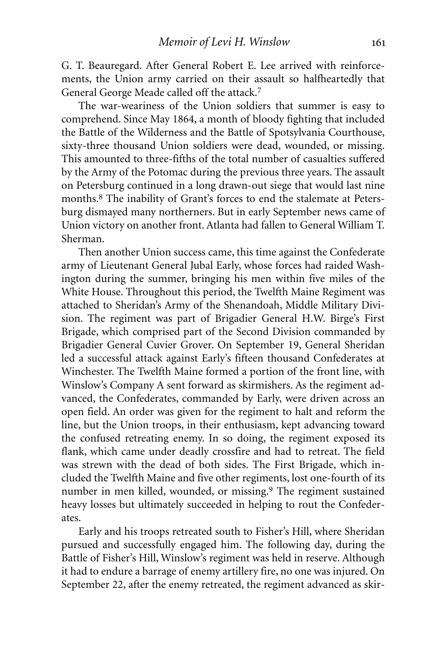G. T. Beauregard. After General Robert E. Lee arrived with reinforcements, the Union army carried on their assault so halfheartedly that General George Meade called off the attack. 7

The war-weariness of the Union soldiers that summer is easy to comprehend. Since May 1864, a month of bloody fighting that included the Battle of the Wilderness and the Battle of Spotsylvania Courthouse, sixty-three thousand Union soldiers were dead, wounded, or missing. This amounted to three-fifths of the total number of casualties suffered by the Army of the Potomac during the previous three years. The assault on Petersburg continued in a long drawn-out siege that would last nine months. 8 The inability of Grant's forces to end the stalemate at Petersburg dismayed many northerners. But in early September news came of Union victory on another front. Atlanta had fallen to General William T. Sherman.

Then another Union success came, this time against the Confederate army of Lieutenant General Jubal Early, whose forces had raided Washington during the summer, bringing his men within five miles of the White House. Throughout this period, the Twelfth Maine Regiment was attached to Sheridan's Army of the Shenandoah, Middle Military Division. The regiment was part of Brigadier General H.W. Birge's First Brigade, which comprised part of the Second Division commanded by Brigadier General Cuvier Grover. On September 19, General Sheridan led a successful attack against Early's fifteen thousand Confederates at Winchester. The Twelfth Maine formed a portion of the front line, with Winslow's Company A sent forward as skirmishers. As the regiment advanced, the Confederates, commanded by Early, were driven across an open field. An order was given for the regiment to halt and reform the line, but the Union troops, in their enthusiasm, kept advancing toward the confused retreating enemy. In so doing, the regiment exposed its flank, which came under deadly crossfire and had to retreat. The field was strewn with the dead of both sides. The First Brigade, which included the Twelfth Maine and five other regiments, lost one-fourth of its number in men killed, wounded, or missing. 9 The regiment sustained heavy losses but ultimately succeeded in helping to rout the Confederates.

Early and his troops retreated south to Fisher's Hill, where Sheridan pursued and successfully engaged him. The following day, during the Battle of Fisher's Hill, Winslow's regiment was held in reserve. Although it had to endure a barrage of enemy artillery fire, no one was injured. On September 22, after the enemy retreated, the regiment advanced as skir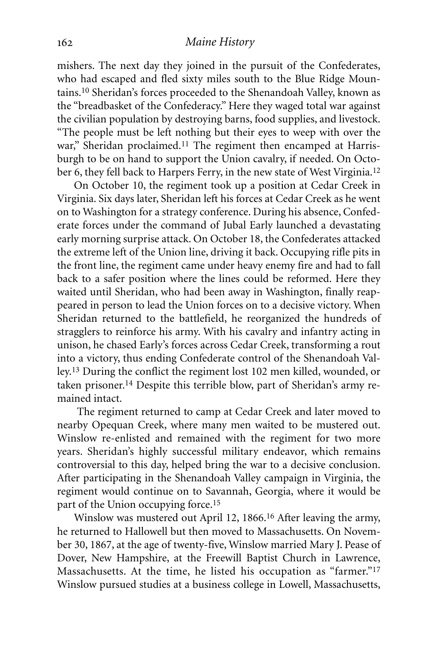mishers. The next day they joined in the pursuit of the Confederates, who had escaped and fled sixty miles south to the Blue Ridge Mountains. 10 Sheridan's forces proceeded to the Shenandoah Valley, known as the "breadbasket of the Confederacy." Here they waged total war against the civilian population by destroying barns, food supplies, and livestock. "The people must be left nothing but their eyes to weep with over the war," Sheridan proclaimed.<sup>11</sup> The regiment then encamped at Harrisburgh to be on hand to support the Union cavalry, if needed. On October 6, they fell back to Harpers Ferry, in the new state of West Virginia.<sup>12</sup>

On October 10, the regiment took up a position at Cedar Creek in Virginia. Six days later, Sheridan left his forces at Cedar Creek as he went on to Washington for a strategy conference. During his absence, Confederate forces under the command of Jubal Early launched a devastating early morning surprise attack. On October 18, the Confederates attacked the extreme left of the Union line, driving it back. Occupying rifle pits in the front line, the regiment came under heavy enemy fire and had to fall back to a safer position where the lines could be reformed. Here they waited until Sheridan, who had been away in Washington, finally reappeared in person to lead the Union forces on to a decisive victory. When Sheridan returned to the battlefield, he reorganized the hundreds of stragglers to reinforce his army. With his cavalry and infantry acting in unison, he chased Early's forces across Cedar Creek, transforming a rout into a victory, thus ending Confederate control of the Shenandoah Valley.13 During the conflict the regiment lost 102 men killed, wounded, or taken prisoner. 14 Despite this terrible blow, part of Sheridan's army remained intact.

The regiment returned to camp at Cedar Creek and later moved to nearby Opequan Creek, where many men waited to be mustered out. Winslow re-enlisted and remained with the regiment for two more years. Sheridan's highly successful military endeavor, which remains controversial to this day, helped bring the war to a decisive conclusion. After participating in the Shenandoah Valley campaign in Virginia, the regiment would continue on to Savannah, Georgia, where it would be part of the Union occupying force. 15

Winslow was mustered out April 12, 1866. 16 After leaving the army, he returned to Hallowell but then moved to Massachusetts. On November 30, 1867, at the age of twenty-five, Winslow married Mary J. Pease of Dover, New Hampshire, at the Freewill Baptist Church in Lawrence, Massachusetts. At the time, he listed his occupation as "farmer."17 Winslow pursued studies at a business college in Lowell, Massachusetts,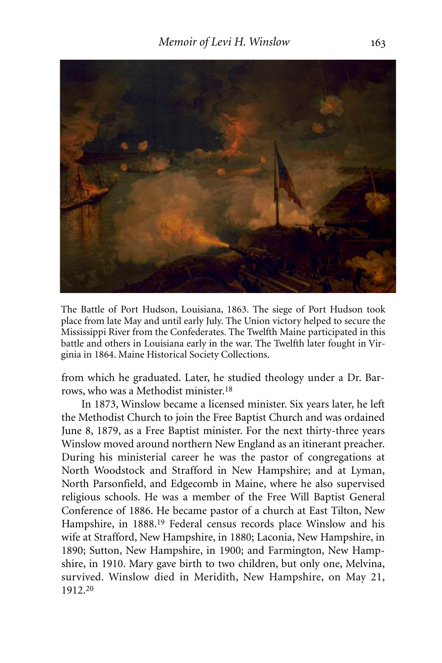

The Battle of Port Hudson, Louisiana, 1863. The siege of Port Hudson took place from late May and until early July. The Union victory helped to secure the Mississippi River from the Confederates. The Twelfth Maine participated in this battle and others in Louisiana early in the war. The Twelfth later fought in Virginia in 1864. Maine Historical Society Collections.

from which he graduated. Later, he studied theology under a Dr. Barrows, who was a Methodist minister. 18

In 1873, Winslow became a licensed minister. Six years later, he left the Methodist Church to join the Free Baptist Church and was ordained June 8, 1879, as a Free Baptist minister. For the next thirty-three years Winslow moved around northern New England as an itinerant preacher. During his ministerial career he was the pastor of congregations at North Woodstock and Strafford in New Hampshire; and at Lyman, North Parsonfield, and Edgecomb in Maine, where he also supervised religious schools. He was a member of the Free Will Baptist General Conference of 1886. He became pastor of a church at East Tilton, New Hampshire, in 1888.<sup>19</sup> Federal census records place Winslow and his wife at Strafford, New Hampshire, in 1880; Laconia, New Hampshire, in 1890; Sutton, New Hampshire, in 1900; and Farmington, New Hampshire, in 1910. Mary gave birth to two children, but only one, Melvina, survived. Winslow died in Meridith, New Hampshire, on May 21, 1912. 20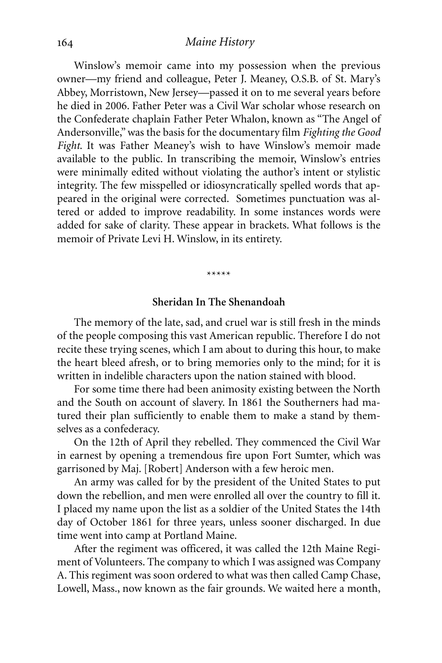Winslow's memoir came into my possession when the previous owner—my friend and colleague, Peter J. Meaney, O.S.B. of St. Mary's Abbey, Morristown, New Jersey—passed it on to me several years before he died in 2006. Father Peter was a Civil War scholar whose research on the Confederate chaplain Father Peter Whalon, known as "The Angel of Andersonville,"was the basis for the documentary film *Fighting the Good Fight*. It was Father Meaney's wish to have Winslow's memoir made available to the public. In transcribing the memoir, Winslow's entries were minimally edited without violating the author's intent or stylistic integrity. The few misspelled or idiosyncratically spelled words that appeared in the original were corrected. Sometimes punctuation was altered or added to improve readability. In some instances words were added for sake of clarity. These appear in brackets. What follows is the memoir of Private Levi H. Winslow, in its entirety.

\*\*\*\*\*

#### **Sheridan In The Shenandoah**

The memory of the late, sad, and cruel war is still fresh in the minds of the people composing this vast American republic. Therefore I do not recite these trying scenes, which I am about to during this hour, to make the heart bleed afresh, or to bring memories only to the mind; for it is written in indelible characters upon the nation stained with blood.

For some time there had been animosity existing between the North and the South on account of slavery. In 1861 the Southerners had matured their plan sufficiently to enable them to make a stand by themselves as a confederacy.

On the 12th of April they rebelled. They commenced the Civil War in earnest by opening a tremendous fire upon Fort Sumter, which was garrisoned by Maj. [Robert] Anderson with a few heroic men.

An army was called for by the president of the United States to put down the rebellion, and men were enrolled all over the country to fill it. I placed my name upon the list as a soldier of the United States the 14th day of October 1861 for three years, unless sooner discharged. In due time went into camp at Portland Maine.

After the regiment was officered, it was called the 12th Maine Regiment of Volunteers. The company to which I was assigned was Company A. This regiment was soon ordered to what was then called Camp Chase, Lowell, Mass., now known as the fair grounds. We waited here a month,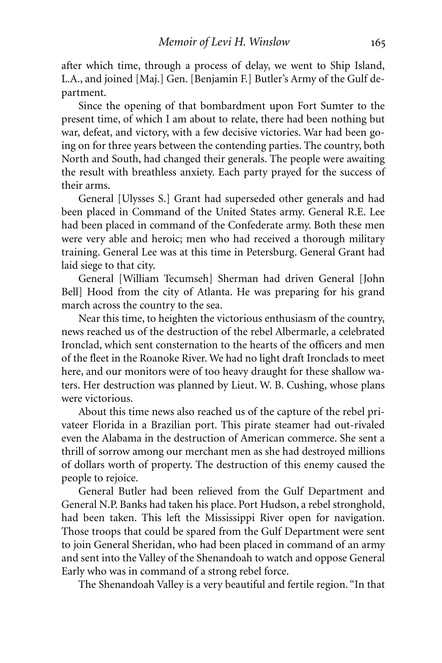after which time, through a process of delay, we went to Ship Island, L.A., and joined [Maj.] Gen. [Benjamin F.] Butler's Army of the Gulf department.

Since the opening of that bombardment upon Fort Sumter to the present time, of which I am about to relate, there had been nothing but war, defeat, and victory, with a few decisive victories. War had been going on for three years between the contending parties. The country, both North and South, had changed their generals. The people were awaiting the result with breathless anxiety. Each party prayed for the success of their arms.

General [Ulysses S.] Grant had superseded other generals and had been placed in Command of the United States army. General R.E. Lee had been placed in command of the Confederate army. Both these men were very able and heroic; men who had received a thorough military training. General Lee was at this time in Petersburg. General Grant had laid siege to that city.

General [William Tecumseh] Sherman had driven General [John Bell] Hood from the city of Atlanta. He was preparing for his grand march across the country to the sea.

Near this time, to heighten the victorious enthusiasm of the country, news reached us of the destruction of the rebel Albermarle, a celebrated Ironclad, which sent consternation to the hearts of the officers and men of the fleet in the Roanoke River. We had no light draft Ironclads to meet here, and our monitors were of too heavy draught for these shallow waters. Her destruction was planned by Lieut. W. B. Cushing, whose plans were victorious.

About this time news also reached us of the capture of the rebel privateer Florida in a Brazilian port. This pirate steamer had out-rivaled even the Alabama in the destruction of American commerce. She sent a thrill of sorrow among our merchant men as she had destroyed millions of dollars worth of property. The destruction of this enemy caused the people to rejoice.

General Butler had been relieved from the Gulf Department and General N.P. Banks had taken his place. Port Hudson, a rebel stronghold, had been taken. This left the Mississippi River open for navigation. Those troops that could be spared from the Gulf Department were sent to join General Sheridan, who had been placed in command of an army and sent into the Valley of the Shenandoah to watch and oppose General Early who was in command of a strong rebel force.

The Shenandoah Valley is a very beautiful and fertile region. "In that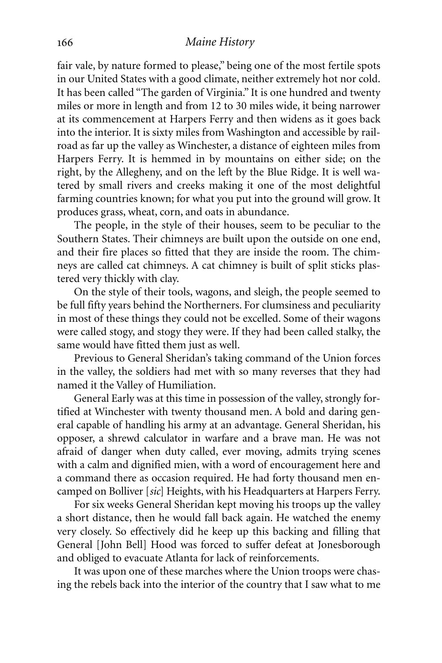fair vale, by nature formed to please," being one of the most fertile spots in our United States with a good climate, neither extremely hot nor cold. It has been called "The garden of Virginia." It is one hundred and twenty miles or more in length and from 12 to 30 miles wide, it being narrower at its commencement at Harpers Ferry and then widens as it goes back into the interior. It is sixty miles from Washington and accessible by railroad as far up the valley as Winchester, a distance of eighteen miles from Harpers Ferry. It is hemmed in by mountains on either side; on the right, by the Allegheny, and on the left by the Blue Ridge. It is well watered by small rivers and creeks making it one of the most delightful farming countries known; for what you put into the ground will grow. It produces grass, wheat, corn, and oats in abundance.

The people, in the style of their houses, seem to be peculiar to the Southern States. Their chimneys are built upon the outside on one end, and their fire places so fitted that they are inside the room. The chimneys are called cat chimneys. A cat chimney is built of split sticks plastered very thickly with clay.

On the style of their tools, wagons, and sleigh, the people seemed to be full fifty years behind the Northerners. For clumsiness and peculiarity in most of these things they could not be excelled. Some of their wagons were called stogy, and stogy they were. If they had been called stalky, the same would have fitted them just as well.

Previous to General Sheridan's taking command of the Union forces in the valley, the soldiers had met with so many reverses that they had named it the Valley of Humiliation.

General Early was at this time in possession of the valley, strongly fortified at Winchester with twenty thousand men. A bold and daring general capable of handling his army at an advantage. General Sheridan, his opposer, a shrewd calculator in warfare and a brave man. He was not afraid of danger when duty called, ever moving, admits trying scenes with a calm and dignified mien, with a word of encouragement here and a command there as occasion required. He had forty thousand men encamped on Bolliver [*sic*] Heights, with his Headquarters at Harpers Ferry.

For six weeks General Sheridan kept moving his troops up the valley a short distance, then he would fall back again. He watched the enemy very closely. So effectively did he keep up this backing and filling that General [John Bell] Hood was forced to suffer defeat at Jonesborough and obliged to evacuate Atlanta for lack of reinforcements.

It was upon one of these marches where the Union troops were chasing the rebels back into the interior of the country that I saw what to me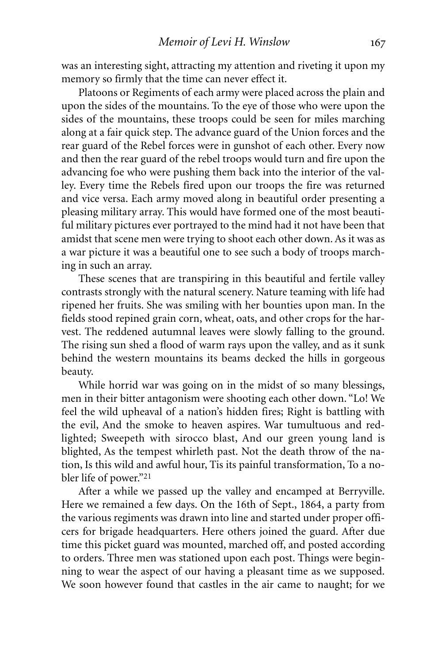was an interesting sight, attracting my attention and riveting it upon my memory so firmly that the time can never effect it.

Platoons or Regiments of each army were placed across the plain and upon the sides of the mountains. To the eye of those who were upon the sides of the mountains, these troops could be seen for miles marching along at a fair quick step. The advance guard of the Union forces and the rear guard of the Rebel forces were in gunshot of each other. Every now and then the rear guard of the rebel troops would turn and fire upon the advancing foe who were pushing them back into the interior of the valley. Every time the Rebels fired upon our troops the fire was returned and vice versa. Each army moved along in beautiful order presenting a pleasing military array. This would have formed one of the most beautiful military pictures ever portrayed to the mind had it not have been that amidst that scene men were trying to shoot each other down. As it was as a war picture it was a beautiful one to see such a body of troops marching in such an array.

These scenes that are transpiring in this beautiful and fertile valley contrasts strongly with the natural scenery. Nature teaming with life had ripened her fruits. She was smiling with her bounties upon man. In the fields stood repined grain corn, wheat, oats, and other crops for the harvest. The reddened autumnal leaves were slowly falling to the ground. The rising sun shed a flood of warm rays upon the valley, and as it sunk behind the western mountains its beams decked the hills in gorgeous beauty.

While horrid war was going on in the midst of so many blessings, men in their bitter antagonism were shooting each other down. "Lo! We feel the wild upheaval of a nation's hidden fires; Right is battling with the evil, And the smoke to heaven aspires. War tumultuous and redlighted; Sweepeth with sirocco blast, And our green young land is blighted, As the tempest whirleth past. Not the death throw of the nation, Is this wild and awful hour, Tis its painful transformation, To a nobler life of power."21

After a while we passed up the valley and encamped at Berryville. Here we remained a few days. On the 16th of Sept., 1864, a party from the various regiments was drawn into line and started under proper officers for brigade headquarters. Here others joined the guard. After due time this picket guard was mounted, marched off, and posted according to orders. Three men was stationed upon each post. Things were beginning to wear the aspect of our having a pleasant time as we supposed. We soon however found that castles in the air came to naught; for we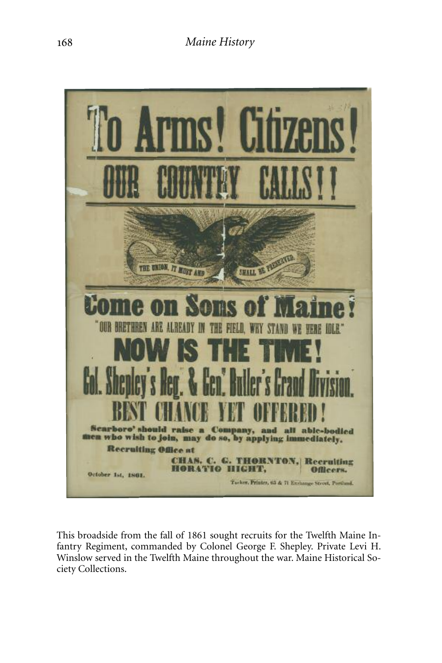

This broadside from the fall of 1861 sought recruits for the Twelfth Maine Infantry Regiment, commanded by Colonel George F. Shepley. Private Levi H. Winslow served in the Twelfth Maine throughout the war. Maine Historical Society Collections.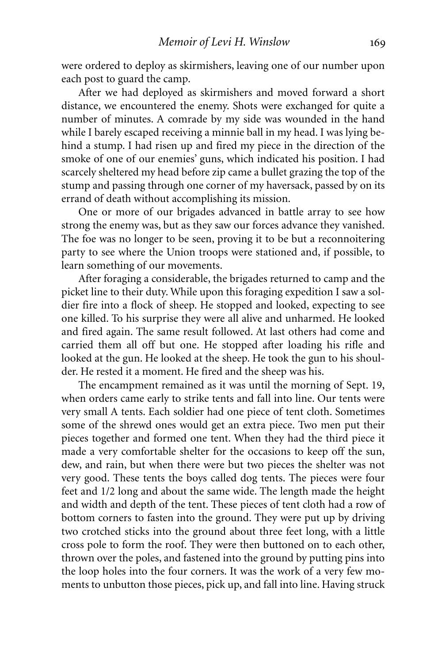were ordered to deploy as skirmishers, leaving one of our number upon each post to guard the camp.

After we had deployed as skirmishers and moved forward a short distance, we encountered the enemy. Shots were exchanged for quite a number of minutes. A comrade by my side was wounded in the hand while I barely escaped receiving a minnie ball in my head. I was lying behind a stump. I had risen up and fired my piece in the direction of the smoke of one of our enemies' guns, which indicated his position. I had scarcely sheltered my head before zip came a bullet grazing the top of the stump and passing through one corner of my haversack, passed by on its errand of death without accomplishing its mission.

One or more of our brigades advanced in battle array to see how strong the enemy was, but as they saw our forces advance they vanished. The foe was no longer to be seen, proving it to be but a reconnoitering party to see where the Union troops were stationed and, if possible, to learn something of our movements.

After foraging a considerable, the brigades returned to camp and the picket line to their duty. While upon this foraging expedition I saw a soldier fire into a flock of sheep. He stopped and looked, expecting to see one killed. To his surprise they were all alive and unharmed. He looked and fired again. The same result followed. At last others had come and carried them all off but one. He stopped after loading his rifle and looked at the gun. He looked at the sheep. He took the gun to his shoulder. He rested it a moment. He fired and the sheep was his.

The encampment remained as it was until the morning of Sept. 19, when orders came early to strike tents and fall into line. Our tents were very small A tents. Each soldier had one piece of tent cloth. Sometimes some of the shrewd ones would get an extra piece. Two men put their pieces together and formed one tent. When they had the third piece it made a very comfortable shelter for the occasions to keep off the sun, dew, and rain, but when there were but two pieces the shelter was not very good. These tents the boys called dog tents. The pieces were four feet and 1/2 long and about the same wide. The length made the height and width and depth of the tent. These pieces of tent cloth had a row of bottom corners to fasten into the ground. They were put up by driving two crotched sticks into the ground about three feet long, with a little cross pole to form the roof. They were then buttoned on to each other, thrown over the poles, and fastened into the ground by putting pins into the loop holes into the four corners. It was the work of a very few moments to unbutton those pieces, pick up, and fall into line. Having struck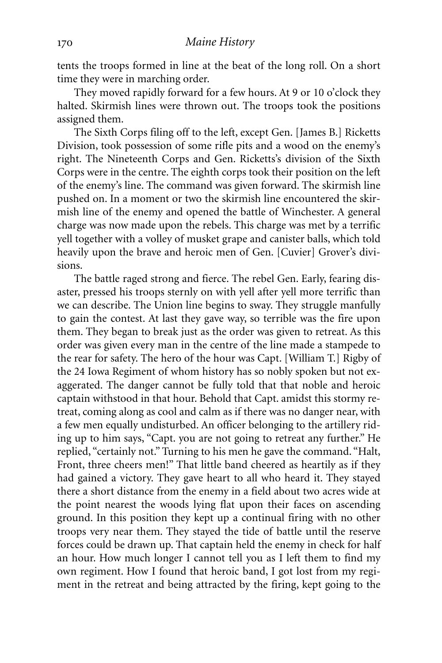tents the troops formed in line at the beat of the long roll. On a short time they were in marching order.

They moved rapidly forward for a few hours. At 9 or 10 o'clock they halted. Skirmish lines were thrown out. The troops took the positions assigned them.

The Sixth Corps filing off to the left, except Gen. [James B.] Ricketts Division, took possession of some rifle pits and a wood on the enemy's right. The Nineteenth Corps and Gen. Ricketts's division of the Sixth Corps were in the centre. The eighth corps took their position on the left of the enemy's line. The command was given forward. The skirmish line pushed on. In a moment or two the skirmish line encountered the skirmish line of the enemy and opened the battle of Winchester. A general charge was now made upon the rebels. This charge was met by a terrific yell together with a volley of musket grape and canister balls, which told heavily upon the brave and heroic men of Gen. [Cuvier] Grover's divisions.

The battle raged strong and fierce. The rebel Gen. Early, fearing disaster, pressed his troops sternly on with yell after yell more terrific than we can describe. The Union line begins to sway. They struggle manfully to gain the contest. At last they gave way, so terrible was the fire upon them. They began to break just as the order was given to retreat. As this order was given every man in the centre of the line made a stampede to the rear for safety. The hero of the hour was Capt. [William T.] Rigby of the 24 Iowa Regiment of whom history has so nobly spoken but not exaggerated. The danger cannot be fully told that that noble and heroic captain withstood in that hour. Behold that Capt. amidst this stormy retreat, coming along as cool and calm as if there was no danger near, with a few men equally undisturbed. An officer belonging to the artillery riding up to him says, "Capt. you are not going to retreat any further." He replied, "certainly not." Turning to his men he gave the command. "Halt, Front, three cheers men!" That little band cheered as heartily as if they had gained a victory. They gave heart to all who heard it. They stayed there a short distance from the enemy in a field about two acres wide at the point nearest the woods lying flat upon their faces on ascending ground. In this position they kept up a continual firing with no other troops very near them. They stayed the tide of battle until the reserve forces could be drawn up. That captain held the enemy in check for half an hour. How much longer I cannot tell you as I left them to find my own regiment. How I found that heroic band, I got lost from my regiment in the retreat and being attracted by the firing, kept going to the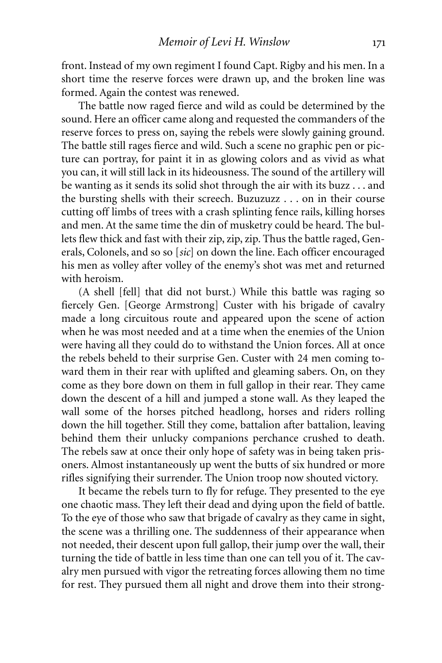front. Instead of my own regiment I found Capt. Rigby and his men. In a short time the reserve forces were drawn up, and the broken line was formed. Again the contest was renewed.

The battle now raged fierce and wild as could be determined by the sound. Here an officer came along and requested the commanders of the reserve forces to press on, saying the rebels were slowly gaining ground. The battle still rages fierce and wild. Such a scene no graphic pen or picture can portray, for paint it in as glowing colors and as vivid as what you can, it will still lack in its hideousness. The sound of the artillery will be wanting as it sends its solid shot through the air with its buzz . . . and the bursting shells with their screech. Buzuzuzz . . . on in their course cutting off limbs of trees with a crash splinting fence rails, killing horses and men. At the same time the din of musketry could be heard. The bullets flew thick and fast with their zip, zip, zip. Thus the battle raged, Generals, Colonels, and so so [*sic*] on down the line. Each officer encouraged his men as volley after volley of the enemy's shot was met and returned with heroism.

(A shell [fell] that did not burst.) While this battle was raging so fiercely Gen. [George Armstrong] Custer with his brigade of cavalry made a long circuitous route and appeared upon the scene of action when he was most needed and at a time when the enemies of the Union were having all they could do to withstand the Union forces. All at once the rebels beheld to their surprise Gen. Custer with 24 men coming toward them in their rear with uplifted and gleaming sabers. On, on they come as they bore down on them in full gallop in their rear. They came down the descent of a hill and jumped a stone wall. As they leaped the wall some of the horses pitched headlong, horses and riders rolling down the hill together. Still they come, battalion after battalion, leaving behind them their unlucky companions perchance crushed to death. The rebels saw at once their only hope of safety was in being taken prisoners. Almost instantaneously up went the butts of six hundred or more rifles signifying their surrender. The Union troop now shouted victory.

It became the rebels turn to fly for refuge. They presented to the eye one chaotic mass. They left their dead and dying upon the field of battle. To the eye of those who saw that brigade of cavalry as they came in sight, the scene was a thrilling one. The suddenness of their appearance when not needed, their descent upon full gallop, their jump over the wall, their turning the tide of battle in less time than one can tell you of it. The cavalry men pursued with vigor the retreating forces allowing them no time for rest. They pursued them all night and drove them into their strong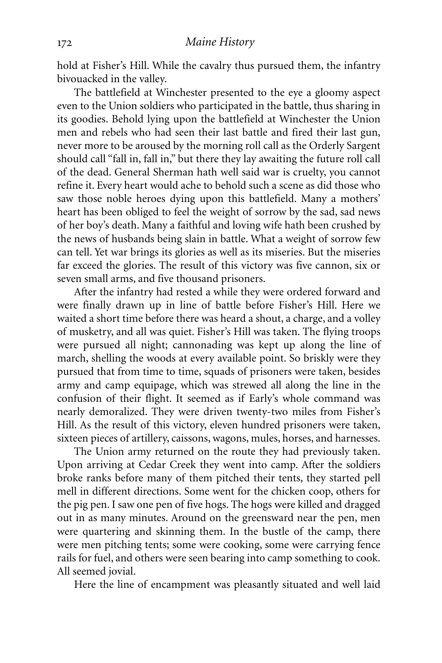hold at Fisher's Hill. While the cavalry thus pursued them, the infantry bivouacked in the valley.

The battlefield at Winchester presented to the eye a gloomy aspect even to the Union soldiers who participated in the battle, thus sharing in its goodies. Behold lying upon the battlefield at Winchester the Union men and rebels who had seen their last battle and fired their last gun, never more to be aroused by the morning roll call as the Orderly Sargent should call "fall in, fall in," but there they lay awaiting the future roll call of the dead. General Sherman hath well said war is cruelty, you cannot refine it. Every heart would ache to behold such a scene as did those who saw those noble heroes dying upon this battlefield. Many a mothers' heart has been obliged to feel the weight of sorrow by the sad, sad news of her boy's death. Many a faithful and loving wife hath been crushed by the news of husbands being slain in battle. What a weight of sorrow few can tell. Yet war brings its glories as well as its miseries. But the miseries far exceed the glories. The result of this victory was five cannon, six or seven small arms, and five thousand prisoners.

After the infantry had rested a while they were ordered forward and were finally drawn up in line of battle before Fisher's Hill. Here we waited a short time before there was heard a shout, a charge, and a volley of musketry, and all was quiet. Fisher's Hill was taken. The flying troops were pursued all night; cannonading was kept up along the line of march, shelling the woods at every available point. So briskly were they pursued that from time to time, squads of prisoners were taken, besides army and camp equipage, which was strewed all along the line in the confusion of their flight. It seemed as if Early's whole command was nearly demoralized. They were driven twenty-two miles from Fisher's Hill. As the result of this victory, eleven hundred prisoners were taken, sixteen pieces of artillery, caissons, wagons, mules, horses, and harnesses.

The Union army returned on the route they had previously taken. Upon arriving at Cedar Creek they went into camp. After the soldiers broke ranks before many of them pitched their tents, they started pell mell in different directions. Some went for the chicken coop, others for the pig pen. I saw one pen of five hogs. The hogs were killed and dragged out in as many minutes. Around on the greensward near the pen, men were quartering and skinning them. In the bustle of the camp, there were men pitching tents; some were cooking, some were carrying fence rails for fuel, and others were seen bearing into camp something to cook. All seemed jovial.

Here the line of encampment was pleasantly situated and well laid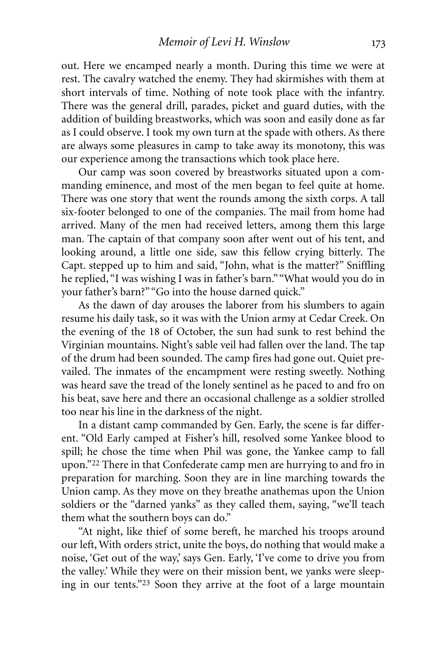out. Here we encamped nearly a month. During this time we were at rest. The cavalry watched the enemy. They had skirmishes with them at short intervals of time. Nothing of note took place with the infantry. There was the general drill, parades, picket and guard duties, with the addition of building breastworks, which was soon and easily done as far as I could observe. I took my own turn at the spade with others. As there are always some pleasures in camp to take away its monotony, this was our experience among the transactions which took place here.

Our camp was soon covered by breastworks situated upon a commanding eminence, and most of the men began to feel quite at home. There was one story that went the rounds among the sixth corps. A tall six-footer belonged to one of the companies. The mail from home had arrived. Many of the men had received letters, among them this large man. The captain of that company soon after went out of his tent, and looking around, a little one side, saw this fellow crying bitterly. The Capt. stepped up to him and said, "John, what is the matter?" Sniffling he replied, "I was wishing I was in father's barn." "What would you do in your father's barn?" "Go into the house darned quick."

As the dawn of day arouses the laborer from his slumbers to again resume his daily task, so it was with the Union army at Cedar Creek. On the evening of the 18 of October, the sun had sunk to rest behind the Virginian mountains. Night's sable veil had fallen over the land. The tap of the drum had been sounded. The camp fires had gone out. Quiet prevailed. The inmates of the encampment were resting sweetly. Nothing was heard save the tread of the lonely sentinel as he paced to and fro on his beat, save here and there an occasional challenge as a soldier strolled too near his line in the darkness of the night.

In a distant camp commanded by Gen. Early, the scene is far different. "Old Early camped at Fisher's hill, resolved some Yankee blood to spill; he chose the time when Phil was gone, the Yankee camp to fall upon."22 There in that Confederate camp men are hurrying to and fro in preparation for marching. Soon they are in line marching towards the Union camp. As they move on they breathe anathemas upon the Union soldiers or the "darned yanks" as they called them, saying, "we'll teach them what the southern boys can do."

"At night, like thief of some bereft, he marched his troops around our left, With orders strict, unite the boys, do nothing that would make a noise, 'Get out of the way,' says Gen. Early, 'I've come to drive you from the valley.' While they were on their mission bent, we yanks were sleeping in our tents."23 Soon they arrive at the foot of a large mountain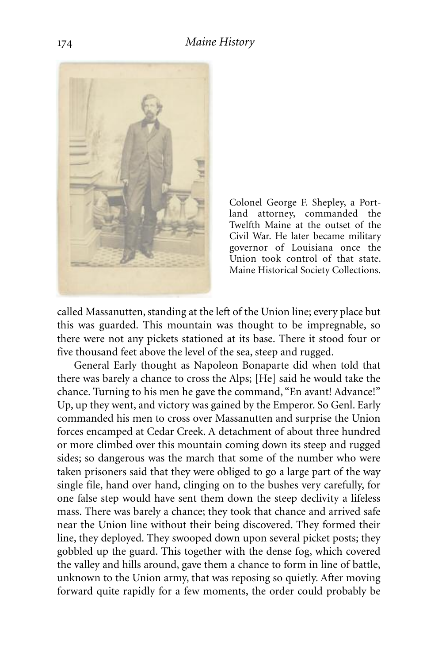

Colonel George F. Shepley, a Portland attorney, commanded the Twelfth Maine at the outset of the Civil War. He later became military governor of Louisiana once the Union took control of that state. Maine Historical Society Collections.

called Massanutten, standing at the left of the Union line; every place but this was guarded. This mountain was thought to be impregnable, so there were not any pickets stationed at its base. There it stood four or five thousand feet above the level of the sea, steep and rugged.

General Early thought as Napoleon Bonaparte did when told that there was barely a chance to cross the Alps; [He] said he would take the chance. Turning to his men he gave the command, "En avant! Advance!" Up, up they went, and victory was gained by the Emperor. So Genl. Early commanded his men to cross over Massanutten and surprise the Union forces encamped at Cedar Creek. A detachment of about three hundred or more climbed over this mountain coming down its steep and rugged sides; so dangerous was the march that some of the number who were taken prisoners said that they were obliged to go a large part of the way single file, hand over hand, clinging on to the bushes very carefully, for one false step would have sent them down the steep declivity a lifeless mass. There was barely a chance; they took that chance and arrived safe near the Union line without their being discovered. They formed their line, they deployed. They swooped down upon several picket posts; they gobbled up the guard. This together with the dense fog, which covered the valley and hills around, gave them a chance to form in line of battle, unknown to the Union army, that was reposing so quietly. After moving forward quite rapidly for a few moments, the order could probably be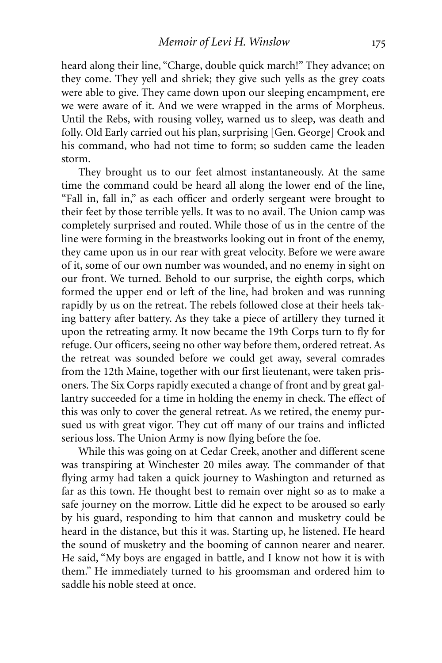heard along their line, "Charge, double quick march!" They advance; on they come. They yell and shriek; they give such yells as the grey coats were able to give. They came down upon our sleeping encampment, ere we were aware of it. And we were wrapped in the arms of Morpheus. Until the Rebs, with rousing volley, warned us to sleep, was death and folly. Old Early carried out his plan, surprising [Gen. George] Crook and his command, who had not time to form; so sudden came the leaden storm.

They brought us to our feet almost instantaneously. At the same time the command could be heard all along the lower end of the line, "Fall in, fall in," as each officer and orderly sergeant were brought to their feet by those terrible yells. It was to no avail. The Union camp was completely surprised and routed. While those of us in the centre of the line were forming in the breastworks looking out in front of the enemy, they came upon us in our rear with great velocity. Before we were aware of it, some of our own number was wounded, and no enemy in sight on our front. We turned. Behold to our surprise, the eighth corps, which formed the upper end or left of the line, had broken and was running rapidly by us on the retreat. The rebels followed close at their heels taking battery after battery. As they take a piece of artillery they turned it upon the retreating army. It now became the 19th Corps turn to fly for refuge. Our officers, seeing no other way before them, ordered retreat. As the retreat was sounded before we could get away, several comrades from the 12th Maine, together with our first lieutenant, were taken prisoners. The Six Corps rapidly executed a change of front and by great gallantry succeeded for a time in holding the enemy in check. The effect of this was only to cover the general retreat. As we retired, the enemy pursued us with great vigor. They cut off many of our trains and inflicted serious loss. The Union Army is now flying before the foe.

While this was going on at Cedar Creek, another and different scene was transpiring at Winchester 20 miles away. The commander of that flying army had taken a quick journey to Washington and returned as far as this town. He thought best to remain over night so as to make a safe journey on the morrow. Little did he expect to be aroused so early by his guard, responding to him that cannon and musketry could be heard in the distance, but this it was. Starting up, he listened. He heard the sound of musketry and the booming of cannon nearer and nearer. He said, "My boys are engaged in battle, and I know not how it is with them." He immediately turned to his groomsman and ordered him to saddle his noble steed at once.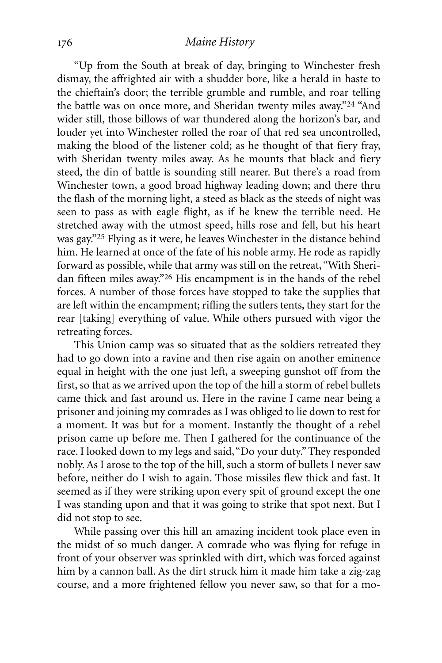## *Maine History*

"Up from the South at break of day, bringing to Winchester fresh dismay, the affrighted air with a shudder bore, like a herald in haste to the chieftain's door; the terrible grumble and rumble, and roar telling the battle was on once more, and Sheridan twenty miles away."24 "And wider still, those billows of war thundered along the horizon's bar, and louder yet into Winchester rolled the roar of that red sea uncontrolled, making the blood of the listener cold; as he thought of that fiery fray, with Sheridan twenty miles away. As he mounts that black and fiery steed, the din of battle is sounding still nearer. But there's a road from Winchester town, a good broad highway leading down; and there thru the flash of the morning light, a steed as black as the steeds of night was seen to pass as with eagle flight, as if he knew the terrible need. He stretched away with the utmost speed, hills rose and fell, but his heart was gay."25 Flying as it were, he leaves Winchester in the distance behind him. He learned at once of the fate of his noble army. He rode as rapidly forward as possible, while that army was still on the retreat, "With Sheridan fifteen miles away."26 His encampment is in the hands of the rebel forces. A number of those forces have stopped to take the supplies that are left within the encampment; rifling the sutlers tents, they start for the rear [taking] everything of value. While others pursued with vigor the retreating forces.

This Union camp was so situated that as the soldiers retreated they had to go down into a ravine and then rise again on another eminence equal in height with the one just left, a sweeping gunshot off from the first, so that as we arrived upon the top of the hill a storm of rebel bullets came thick and fast around us. Here in the ravine I came near being a prisoner and joining my comrades as I was obliged to lie down to rest for a moment. It was but for a moment. Instantly the thought of a rebel prison came up before me. Then I gathered for the continuance of the race. I looked down to my legs and said, "Do your duty." They responded nobly. As I arose to the top of the hill, such a storm of bullets I never saw before, neither do I wish to again. Those missiles flew thick and fast. It seemed as if they were striking upon every spit of ground except the one I was standing upon and that it was going to strike that spot next. But I did not stop to see.

While passing over this hill an amazing incident took place even in the midst of so much danger. A comrade who was flying for refuge in front of your observer was sprinkled with dirt, which was forced against him by a cannon ball. As the dirt struck him it made him take a zig-zag course, and a more frightened fellow you never saw, so that for a mo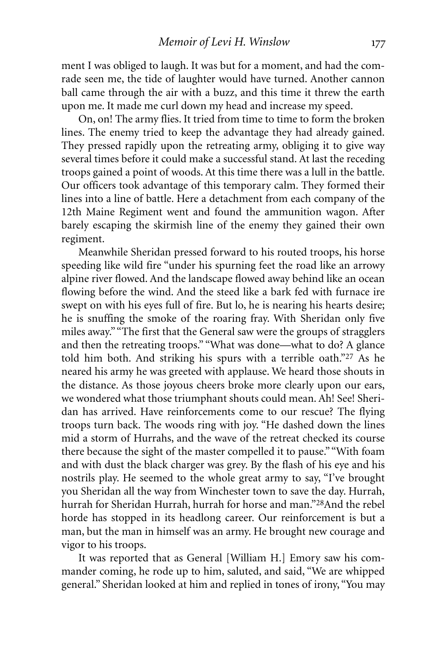ment I was obliged to laugh. It was but for a moment, and had the comrade seen me, the tide of laughter would have turned. Another cannon ball came through the air with a buzz, and this time it threw the earth upon me. It made me curl down my head and increase my speed.

On, on! The army flies. It tried from time to time to form the broken lines. The enemy tried to keep the advantage they had already gained. They pressed rapidly upon the retreating army, obliging it to give way several times before it could make a successful stand. At last the receding troops gained a point of woods. At this time there was a lull in the battle. Our officers took advantage of this temporary calm. They formed their lines into a line of battle. Here a detachment from each company of the 12th Maine Regiment went and found the ammunition wagon. After barely escaping the skirmish line of the enemy they gained their own regiment.

Meanwhile Sheridan pressed forward to his routed troops, his horse speeding like wild fire "under his spurning feet the road like an arrowy alpine river flowed. And the landscape flowed away behind like an ocean flowing before the wind. And the steed like a bark fed with furnace ire swept on with his eyes full of fire. But lo, he is nearing his hearts desire; he is snuffing the smoke of the roaring fray. With Sheridan only five miles away." "The first that the General saw were the groups of stragglers and then the retreating troops." "What was done—what to do? A glance told him both. And striking his spurs with a terrible oath."27 As he neared his army he was greeted with applause. We heard those shouts in the distance. As those joyous cheers broke more clearly upon our ears, we wondered what those triumphant shouts could mean. Ah! See! Sheridan has arrived. Have reinforcements come to our rescue? The flying troops turn back. The woods ring with joy. "He dashed down the lines mid a storm of Hurrahs, and the wave of the retreat checked its course there because the sight of the master compelled it to pause." "With foam and with dust the black charger was grey. By the flash of his eye and his nostrils play. He seemed to the whole great army to say, "I've brought you Sheridan all the way from Winchester town to save the day. Hurrah, hurrah for Sheridan Hurrah, hurrah for horse and man."28And the rebel horde has stopped in its headlong career. Our reinforcement is but a man, but the man in himself was an army. He brought new courage and vigor to his troops.

It was reported that as General [William H.] Emory saw his commander coming, he rode up to him, saluted, and said, "We are whipped general." Sheridan looked at him and replied in tones of irony, "You may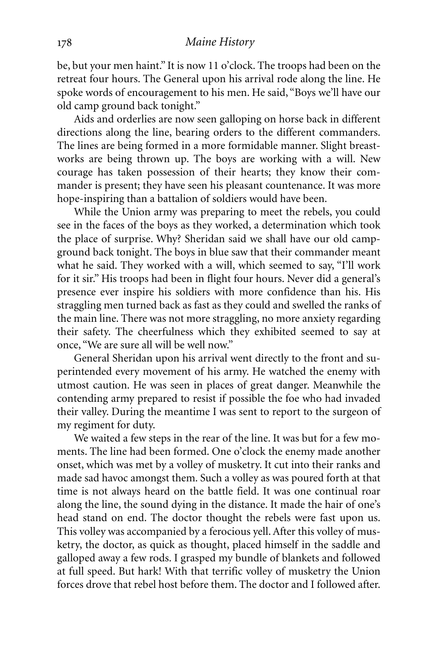be, but your men haint." It is now 11 o'clock. The troops had been on the retreat four hours. The General upon his arrival rode along the line. He spoke words of encouragement to his men. He said, "Boys we'll have our old camp ground back tonight."

Aids and orderlies are now seen galloping on horse back in different directions along the line, bearing orders to the different commanders. The lines are being formed in a more formidable manner. Slight breastworks are being thrown up. The boys are working with a will. New courage has taken possession of their hearts; they know their commander is present; they have seen his pleasant countenance. It was more hope-inspiring than a battalion of soldiers would have been.

While the Union army was preparing to meet the rebels, you could see in the faces of the boys as they worked, a determination which took the place of surprise. Why? Sheridan said we shall have our old campground back tonight. The boys in blue saw that their commander meant what he said. They worked with a will, which seemed to say, "I'll work for it sir." His troops had been in flight four hours. Never did a general's presence ever inspire his soldiers with more confidence than his. His straggling men turned back as fast as they could and swelled the ranks of the main line. There was not more straggling, no more anxiety regarding their safety. The cheerfulness which they exhibited seemed to say at once, "We are sure all will be well now."

General Sheridan upon his arrival went directly to the front and superintended every movement of his army. He watched the enemy with utmost caution. He was seen in places of great danger. Meanwhile the contending army prepared to resist if possible the foe who had invaded their valley. During the meantime I was sent to report to the surgeon of my regiment for duty.

We waited a few steps in the rear of the line. It was but for a few moments. The line had been formed. One o'clock the enemy made another onset, which was met by a volley of musketry. It cut into their ranks and made sad havoc amongst them. Such a volley as was poured forth at that time is not always heard on the battle field. It was one continual roar along the line, the sound dying in the distance. It made the hair of one's head stand on end. The doctor thought the rebels were fast upon us. This volley was accompanied by a ferocious yell.After this volley of musketry, the doctor, as quick as thought, placed himself in the saddle and galloped away a few rods. I grasped my bundle of blankets and followed at full speed. But hark! With that terrific volley of musketry the Union forces drove that rebel host before them. The doctor and I followed after.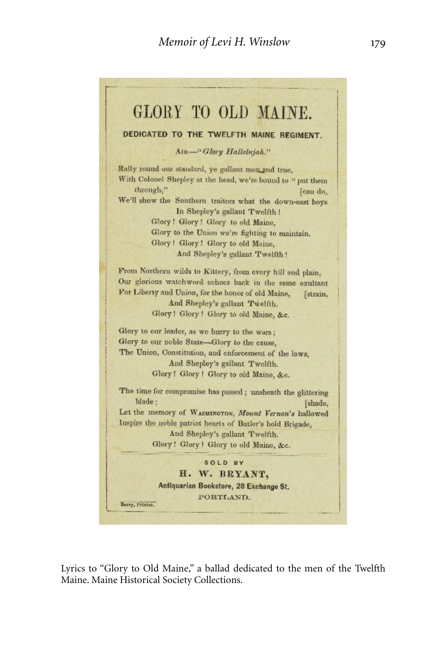

Lyrics to "Glory to Old Maine," a ballad dedicated to the men of the Twelfth Maine. Maine Historical Society Collections.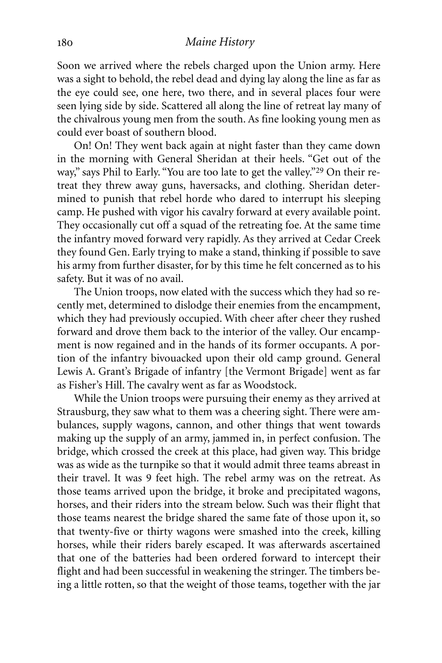## *Maine History*

Soon we arrived where the rebels charged upon the Union army. Here was a sight to behold, the rebel dead and dying lay along the line as far as the eye could see, one here, two there, and in several places four were seen lying side by side. Scattered all along the line of retreat lay many of the chivalrous young men from the south. As fine looking young men as could ever boast of southern blood.

On! On! They went back again at night faster than they came down in the morning with General Sheridan at their heels. "Get out of the way," says Phil to Early. "You are too late to get the valley."29 On their retreat they threw away guns, haversacks, and clothing. Sheridan determined to punish that rebel horde who dared to interrupt his sleeping camp. He pushed with vigor his cavalry forward at every available point. They occasionally cut off a squad of the retreating foe. At the same time the infantry moved forward very rapidly. As they arrived at Cedar Creek they found Gen. Early trying to make a stand, thinking if possible to save his army from further disaster, for by this time he felt concerned as to his safety. But it was of no avail.

The Union troops, now elated with the success which they had so recently met, determined to dislodge their enemies from the encampment, which they had previously occupied. With cheer after cheer they rushed forward and drove them back to the interior of the valley. Our encampment is now regained and in the hands of its former occupants. A portion of the infantry bivouacked upon their old camp ground. General Lewis A. Grant's Brigade of infantry [the Vermont Brigade] went as far as Fisher's Hill. The cavalry went as far as Woodstock.

While the Union troops were pursuing their enemy as they arrived at Strausburg, they saw what to them was a cheering sight. There were ambulances, supply wagons, cannon, and other things that went towards making up the supply of an army, jammed in, in perfect confusion. The bridge, which crossed the creek at this place, had given way. This bridge was as wide as the turnpike so that it would admit three teams abreast in their travel. It was 9 feet high. The rebel army was on the retreat. As those teams arrived upon the bridge, it broke and precipitated wagons, horses, and their riders into the stream below. Such was their flight that those teams nearest the bridge shared the same fate of those upon it, so that twenty-five or thirty wagons were smashed into the creek, killing horses, while their riders barely escaped. It was afterwards ascertained that one of the batteries had been ordered forward to intercept their flight and had been successful in weakening the stringer. The timbers being a little rotten, so that the weight of those teams, together with the jar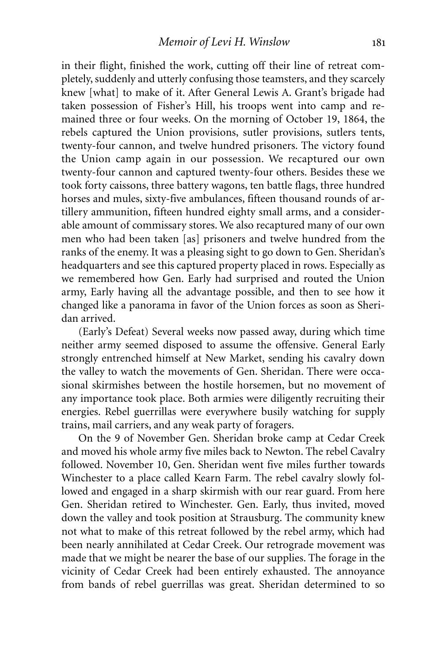in their flight, finished the work, cutting off their line of retreat completely, suddenly and utterly confusing those teamsters, and they scarcely knew [what] to make of it. After General Lewis A. Grant's brigade had taken possession of Fisher's Hill, his troops went into camp and remained three or four weeks. On the morning of October 19, 1864, the rebels captured the Union provisions, sutler provisions, sutlers tents, twenty-four cannon, and twelve hundred prisoners. The victory found the Union camp again in our possession. We recaptured our own twenty-four cannon and captured twenty-four others. Besides these we took forty caissons, three battery wagons, ten battle flags, three hundred horses and mules, sixty-five ambulances, fifteen thousand rounds of artillery ammunition, fifteen hundred eighty small arms, and a considerable amount of commissary stores. We also recaptured many of our own men who had been taken [as] prisoners and twelve hundred from the ranks of the enemy. It was a pleasing sight to go down to Gen. Sheridan's headquarters and see this captured property placed in rows. Especially as we remembered how Gen. Early had surprised and routed the Union army, Early having all the advantage possible, and then to see how it changed like a panorama in favor of the Union forces as soon as Sheridan arrived.

(Early's Defeat) Several weeks now passed away, during which time neither army seemed disposed to assume the offensive. General Early strongly entrenched himself at New Market, sending his cavalry down the valley to watch the movements of Gen. Sheridan. There were occasional skirmishes between the hostile horsemen, but no movement of any importance took place. Both armies were diligently recruiting their energies. Rebel guerrillas were everywhere busily watching for supply trains, mail carriers, and any weak party of foragers.

On the 9 of November Gen. Sheridan broke camp at Cedar Creek and moved his whole army five miles back to Newton. The rebel Cavalry followed. November 10, Gen. Sheridan went five miles further towards Winchester to a place called Kearn Farm. The rebel cavalry slowly followed and engaged in a sharp skirmish with our rear guard. From here Gen. Sheridan retired to Winchester. Gen. Early, thus invited, moved down the valley and took position at Strausburg. The community knew not what to make of this retreat followed by the rebel army, which had been nearly annihilated at Cedar Creek. Our retrograde movement was made that we might be nearer the base of our supplies. The forage in the vicinity of Cedar Creek had been entirely exhausted. The annoyance from bands of rebel guerrillas was great. Sheridan determined to so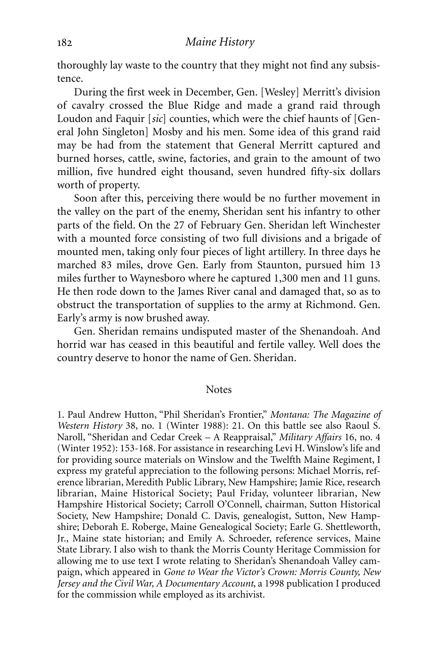thoroughly lay waste to the country that they might not find any subsistence.

During the first week in December, Gen. [Wesley] Merritt's division of cavalry crossed the Blue Ridge and made a grand raid through Loudon and Faquir [*sic*] counties, which were the chief haunts of [General John Singleton] Mosby and his men. Some idea of this grand raid may be had from the statement that General Merritt captured and burned horses, cattle, swine, factories, and grain to the amount of two million, five hundred eight thousand, seven hundred fifty-six dollars worth of property.

Soon after this, perceiving there would be no further movement in the valley on the part of the enemy, Sheridan sent his infantry to other parts of the field. On the 27 of February Gen. Sheridan left Winchester with a mounted force consisting of two full divisions and a brigade of mounted men, taking only four pieces of light artillery. In three days he marched 83 miles, drove Gen. Early from Staunton, pursued him 13 miles further to Waynesboro where he captured 1,300 men and 11 guns. He then rode down to the James River canal and damaged that, so as to obstruct the transportation of supplies to the army at Richmond. Gen. Early's army is now brushed away.

Gen. Sheridan remains undisputed master of the Shenandoah. And horrid war has ceased in this beautiful and fertile valley. Well does the country deserve to honor the name of Gen. Sheridan.

#### **Notes**

1. Paul Andrew Hutton, "Phil Sheridan's Frontier," *Montana: The Magazine of Western History* 38, no. 1 (Winter 1988): 21. On this battle see also Raoul S. Naroll, "Sheridan and Cedar Creek – A Reappraisal," *Military Affairs* 16, no. 4 (Winter 1952): 153-168. For assistance in researching Levi H. Winslow's life and for providing source materials on Winslow and the Twelfth Maine Regiment, I express my grateful appreciation to the following persons: Michael Morris, reference librarian, Meredith Public Library, New Hampshire; Jamie Rice, research librarian, Maine Historical Society; Paul Friday, volunteer librarian, New Hampshire Historical Society; Carroll O'Connell, chairman, Sutton Historical Society, New Hampshire; Donald C. Davis, genealogist, Sutton, New Hampshire; Deborah E. Roberge, Maine Genealogical Society; Earle G. Shettleworth, Jr., Maine state historian; and Emily A. Schroeder, reference services, Maine State Library. I also wish to thank the Morris County Heritage Commission for allowing me to use text I wrote relating to Sheridan's Shenandoah Valley campaign, which appeared in *Gone to Wear the Victor's Crown: Morris County, New Jersey and the Civil War, A Documentary Account*, a 1998 publication I produced for the commission while employed as its archivist.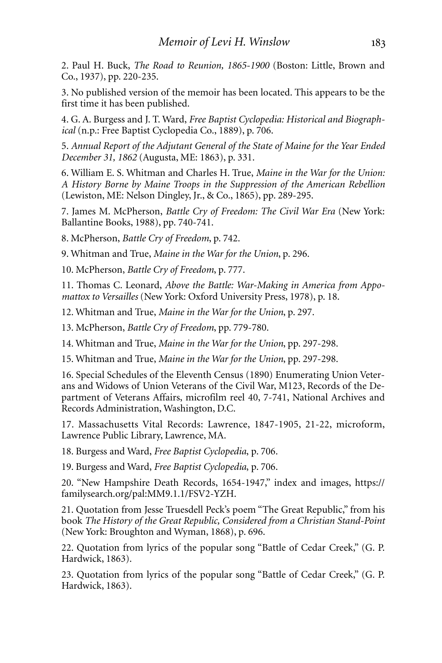2. Paul H. Buck, *The Road to Reunion, 1865-1900* (Boston: Little, Brown and Co., 1937), pp. 220-235.

3. No published version of the memoir has been located. This appears to be the first time it has been published.

4. G. A. Burgess and J. T. Ward, *Free Baptist Cyclopedia: Historical and Biographical* (n.p.: Free Baptist Cyclopedia Co., 1889), p. 706.

5. *Annual Report of the Adjutant General of the State of Maine for the Year Ended December 31, 1862* (Augusta, ME: 1863), p. 331.

6. William E. S. Whitman and Charles H. True, *Maine in the War for the Union: A History Borne by Maine Troops in the Suppression of the American Rebellion* (Lewiston, ME: Nelson Dingley, Jr., & Co., 1865), pp. 289-295.

7. James M. McPherson, *Battle Cry of Freedom: The Civil War Era* (New York: Ballantine Books, 1988), pp. 740-741.

8. McPherson, *Battle Cry of Freedom*, p. 742.

9. Whitman and True, *Maine in the War for the Union*, p. 296.

10. McPherson, *Battle Cry of Freedom*, p. 777.

11. Thomas C. Leonard, *Above the Battle: War-Making in America from Appomattox to Versailles* (New York: Oxford University Press, 1978), p. 18.

12. Whitman and True, *Maine in the War for the Union*, p. 297.

13. McPherson, *Battle Cry of Freedom*, pp. 779-780.

14. Whitman and True, *Maine in the War for the Union*, pp. 297-298.

15. Whitman and True, *Maine in the War for the Union*, pp. 297-298.

16. Special Schedules of the Eleventh Census (1890) Enumerating Union Veterans and Widows of Union Veterans of the Civil War, M123, Records of the Department of Veterans Affairs, microfilm reel 40, 7-741, National Archives and Records Administration, Washington, D.C.

17. Massachusetts Vital Records: Lawrence, 1847-1905, 21-22, microform, Lawrence Public Library, Lawrence, MA.

18. Burgess and Ward, *Free Baptist Cyclopedia*, p. 706.

19. Burgess and Ward, *Free Baptist Cyclopedia*, p. 706.

20. "New Hampshire Death Records, 1654-1947," index and images, https:// familysearch.org/pal:MM9.1.1/FSV2-YZH.

21. Quotation from Jesse Truesdell Peck's poem "The Great Republic," from his book *The History of the Great Republic, Considered from a Christian Stand-Point* (New York: Broughton and Wyman, 1868), p. 696.

22. Quotation from lyrics of the popular song "Battle of Cedar Creek," (G. P. Hardwick, 1863).

23. Quotation from lyrics of the popular song "Battle of Cedar Creek," (G. P. Hardwick, 1863).